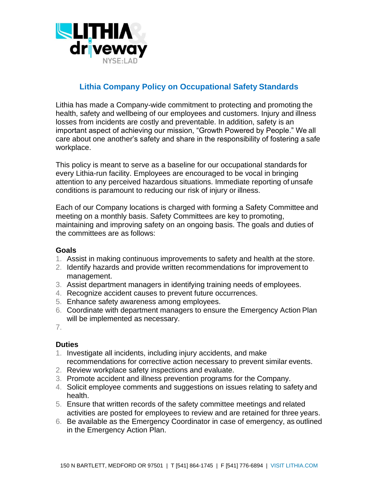

## **Lithia Company Policy on Occupational Safety Standards**

Lithia has made a Company-wide commitment to protecting and promoting the health, safety and wellbeing of our employees and customers. Injury and illness losses from incidents are costly and preventable. In addition, safety is an important aspect of achieving our mission, "Growth Powered by People." We all care about one another's safety and share in the responsibility of fostering a safe workplace.

This policy is meant to serve as a baseline for our occupational standards for every Lithia-run facility. Employees are encouraged to be vocal in bringing attention to any perceived hazardous situations. Immediate reporting of unsafe conditions is paramount to reducing our risk of injury or illness.

Each of our Company locations is charged with forming a Safety Committee and meeting on a monthly basis. Safety Committees are key to promoting, maintaining and improving safety on an ongoing basis. The goals and duties of the committees are as follows:

## **Goals**

- 1. Assist in making continuous improvements to safety and health at the store.
- 2. Identify hazards and provide written recommendations for improvement to management.
- 3. Assist department managers in identifying training needs of employees.
- 4. Recognize accident causes to prevent future occurrences.
- 5. Enhance safety awareness among employees.
- 6. Coordinate with department managers to ensure the Emergency Action Plan will be implemented as necessary.
- 7.

## **Duties**

- 1. Investigate all incidents, including injury accidents, and make recommendations for corrective action necessary to prevent similar events.
- 2. Review workplace safety inspections and evaluate.
- 3. Promote accident and illness prevention programs for the Company.
- 4. Solicit employee comments and suggestions on issues relating to safety and health.
- 5. Ensure that written records of the safety committee meetings and related activities are posted for employees to review and are retained for three years.
- 6. Be available as the Emergency Coordinator in case of emergency, as outlined in the Emergency Action Plan.